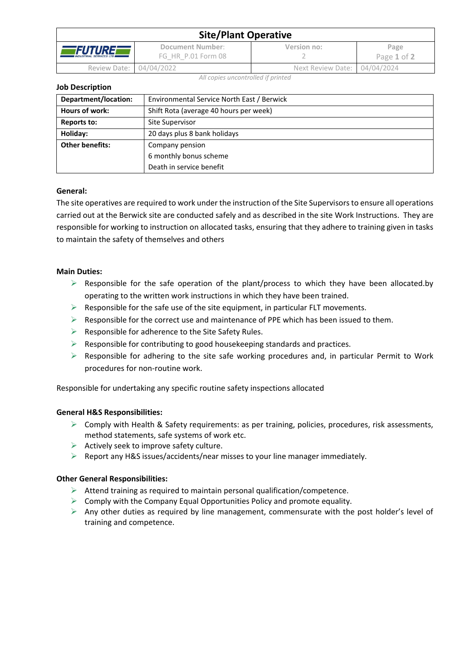| <b>Site/Plant Operative</b>                              |                                        |                              |                     |  |  |
|----------------------------------------------------------|----------------------------------------|------------------------------|---------------------|--|--|
| <i><b>FUTURE</b></i><br><b>INDUSTRIAL SERVICES LTD #</b> | Document Number:<br>FG HR P.01 Form 08 | Version no:                  | Page<br>Page 1 of 2 |  |  |
| Review Date: 04/04/2022                                  |                                        | Next Review Date: 04/04/2024 |                     |  |  |

*All copies uncontrolled if printed*

#### **Job Description**

| Department/location:   | Environmental Service North East / Berwick |  |  |
|------------------------|--------------------------------------------|--|--|
| <b>Hours of work:</b>  | Shift Rota (average 40 hours per week)     |  |  |
| Reports to:            | Site Supervisor                            |  |  |
| Holiday:               | 20 days plus 8 bank holidays               |  |  |
| <b>Other benefits:</b> | Company pension                            |  |  |
|                        | 6 monthly bonus scheme                     |  |  |
|                        | Death in service benefit                   |  |  |

## **General:**

The site operatives are required to work under the instruction of the Site Supervisors to ensure all operations carried out at the Berwick site are conducted safely and as described in the site Work Instructions. They are responsible for working to instruction on allocated tasks, ensuring that they adhere to training given in tasks to maintain the safety of themselves and others

## **Main Duties:**

- $\triangleright$  Responsible for the safe operation of the plant/process to which they have been allocated.by operating to the written work instructions in which they have been trained.
- $\triangleright$  Responsible for the safe use of the site equipment, in particular FLT movements.
- $\triangleright$  Responsible for the correct use and maintenance of PPE which has been issued to them.
- $\triangleright$  Responsible for adherence to the Site Safety Rules.
- $\triangleright$  Responsible for contributing to good housekeeping standards and practices.
- $\triangleright$  Responsible for adhering to the site safe working procedures and, in particular Permit to Work procedures for non-routine work.

Responsible for undertaking any specific routine safety inspections allocated

## **General H&S Responsibilities:**

- $\triangleright$  Comply with Health & Safety requirements: as per training, policies, procedures, risk assessments, method statements, safe systems of work etc.
- $\triangleright$  Actively seek to improve safety culture.
- $\triangleright$  Report any H&S issues/accidents/near misses to your line manager immediately.

## **Other General Responsibilities:**

- ➢ Attend training as required to maintain personal qualification/competence.
- $\triangleright$  Comply with the Company Equal Opportunities Policy and promote equality.
- $\triangleright$  Any other duties as required by line management, commensurate with the post holder's level of training and competence.